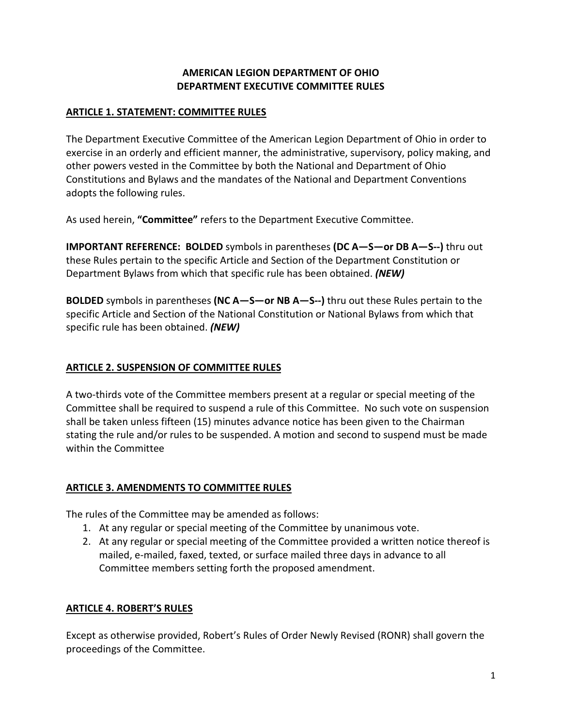# **AMERICAN LEGION DEPARTMENT OF OHIO DEPARTMENT EXECUTIVE COMMITTEE RULES**

#### **ARTICLE 1. STATEMENT: COMMITTEE RULES**

The Department Executive Committee of the American Legion Department of Ohio in order to exercise in an orderly and efficient manner, the administrative, supervisory, policy making, and other powers vested in the Committee by both the National and Department of Ohio Constitutions and Bylaws and the mandates of the National and Department Conventions adopts the following rules.

As used herein, **"Committee"** refers to the Department Executive Committee.

**IMPORTANT REFERENCE: BOLDED** symbols in parentheses **(DC A—S—or DB A—S--)** thru out these Rules pertain to the specific Article and Section of the Department Constitution or Department Bylaws from which that specific rule has been obtained. *(NEW)*

**BOLDED** symbols in parentheses **(NC A—S—or NB A—S--)** thru out these Rules pertain to the specific Article and Section of the National Constitution or National Bylaws from which that specific rule has been obtained. *(NEW)*

# **ARTICLE 2. SUSPENSION OF COMMITTEE RULES**

A two-thirds vote of the Committee members present at a regular or special meeting of the Committee shall be required to suspend a rule of this Committee. No such vote on suspension shall be taken unless fifteen (15) minutes advance notice has been given to the Chairman stating the rule and/or rules to be suspended. A motion and second to suspend must be made within the Committee

# **ARTICLE 3. AMENDMENTS TO COMMITTEE RULES**

The rules of the Committee may be amended as follows:

- 1. At any regular or special meeting of the Committee by unanimous vote.
- 2. At any regular or special meeting of the Committee provided a written notice thereof is mailed, e-mailed, faxed, texted, or surface mailed three days in advance to all Committee members setting forth the proposed amendment.

# **ARTICLE 4. ROBERT'S RULES**

Except as otherwise provided, Robert's Rules of Order Newly Revised (RONR) shall govern the proceedings of the Committee.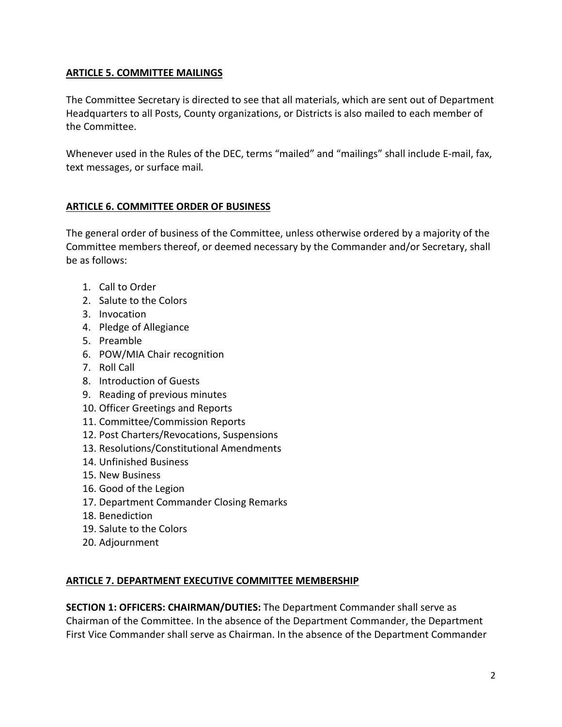# **ARTICLE 5. COMMITTEE MAILINGS**

The Committee Secretary is directed to see that all materials, which are sent out of Department Headquarters to all Posts, County organizations, or Districts is also mailed to each member of the Committee.

Whenever used in the Rules of the DEC, terms "mailed" and "mailings" shall include E-mail, fax, text messages, or surface mail*.* 

# **ARTICLE 6. COMMITTEE ORDER OF BUSINESS**

The general order of business of the Committee, unless otherwise ordered by a majority of the Committee members thereof, or deemed necessary by the Commander and/or Secretary, shall be as follows:

- 1. Call to Order
- 2. Salute to the Colors
- 3. Invocation
- 4. Pledge of Allegiance
- 5. Preamble
- 6. POW/MIA Chair recognition
- 7. Roll Call
- 8. Introduction of Guests
- 9. Reading of previous minutes
- 10. Officer Greetings and Reports
- 11. Committee/Commission Reports
- 12. Post Charters/Revocations, Suspensions
- 13. Resolutions/Constitutional Amendments
- 14. Unfinished Business
- 15. New Business
- 16. Good of the Legion
- 17. Department Commander Closing Remarks
- 18. Benediction
- 19. Salute to the Colors
- 20. Adjournment

# **ARTICLE 7. DEPARTMENT EXECUTIVE COMMITTEE MEMBERSHIP**

**SECTION 1: OFFICERS: CHAIRMAN/DUTIES:** The Department Commander shall serve as Chairman of the Committee. In the absence of the Department Commander, the Department First Vice Commander shall serve as Chairman. In the absence of the Department Commander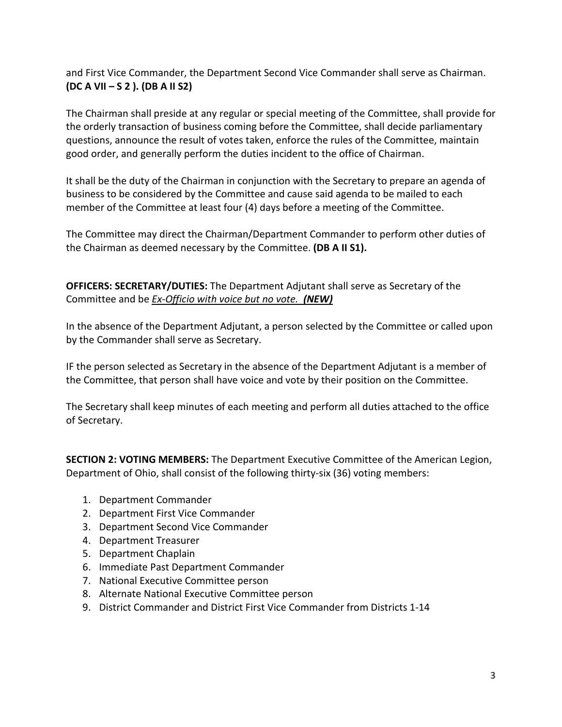and First Vice Commander, the Department Second Vice Commander shall serve as Chairman. **(DC A VII – S 2 ). (DB A II S2)**

The Chairman shall preside at any regular or special meeting of the Committee, shall provide for the orderly transaction of business coming before the Committee, shall decide parliamentary questions, announce the result of votes taken, enforce the rules of the Committee, maintain good order, and generally perform the duties incident to the office of Chairman.

It shall be the duty of the Chairman in conjunction with the Secretary to prepare an agenda of business to be considered by the Committee and cause said agenda to be mailed to each member of the Committee at least four (4) days before a meeting of the Committee.

The Committee may direct the Chairman/Department Commander to perform other duties of the Chairman as deemed necessary by the Committee. **(DB A II S1).**

**OFFICERS: SECRETARY/DUTIES:** The Department Adjutant shall serve as Secretary of the Committee and be *Ex-Officio with voice but no vote. (NEW)*

In the absence of the Department Adjutant, a person selected by the Committee or called upon by the Commander shall serve as Secretary.

IF the person selected as Secretary in the absence of the Department Adjutant is a member of the Committee, that person shall have voice and vote by their position on the Committee.

The Secretary shall keep minutes of each meeting and perform all duties attached to the office of Secretary.

**SECTION 2: VOTING MEMBERS:** The Department Executive Committee of the American Legion, Department of Ohio, shall consist of the following thirty-six (36) voting members:

- 1. Department Commander
- 2. Department First Vice Commander
- 3. Department Second Vice Commander
- 4. Department Treasurer
- 5. Department Chaplain
- 6. Immediate Past Department Commander
- 7. National Executive Committee person
- 8. Alternate National Executive Committee person
- 9. District Commander and District First Vice Commander from Districts 1-14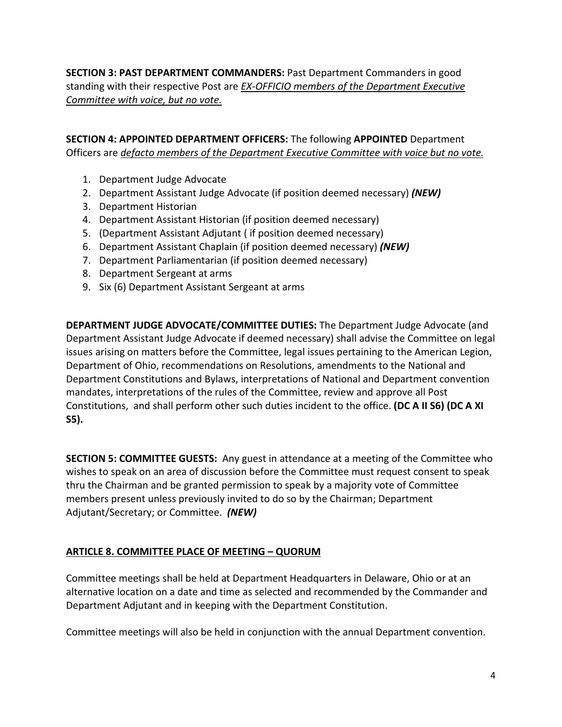**SECTION 3: PAST DEPARTMENT COMMANDERS:** Past Department Commanders in good standing with their respective Post are *EX-OFFICIO members of the Department Executive Committee with voice, but no vote.*

**SECTION 4: APPOINTED DEPARTMENT OFFICERS:** The following **APPOINTED** Department Officers are *defacto members of the Department Executive Committee with voice but no vote.*

- 1. Department Judge Advocate
- 2. Department Assistant Judge Advocate (if position deemed necessary) *(NEW)*
- 3. Department Historian
- 4. Department Assistant Historian (if position deemed necessary)
- 5. (Department Assistant Adjutant ( if position deemed necessary)
- 6. Department Assistant Chaplain (if position deemed necessary) *(NEW)*
- 7. Department Parliamentarian (if position deemed necessary)
- 8. Department Sergeant at arms
- 9. Six (6) Department Assistant Sergeant at arms

**DEPARTMENT JUDGE ADVOCATE/COMMITTEE DUTIES:** The Department Judge Advocate (and Department Assistant Judge Advocate if deemed necessary) shall advise the Committee on legal issues arising on matters before the Committee, legal issues pertaining to the American Legion, Department of Ohio, recommendations on Resolutions, amendments to the National and Department Constitutions and Bylaws, interpretations of National and Department convention mandates, interpretations of the rules of the Committee, review and approve all Post Constitutions, and shall perform other such duties incident to the office. **(DC A II S6) (DC A XI S5).**

**SECTION 5: COMMITTEE GUESTS:** Any guest in attendance at a meeting of the Committee who wishes to speak on an area of discussion before the Committee must request consent to speak thru the Chairman and be granted permission to speak by a majority vote of Committee members present unless previously invited to do so by the Chairman; Department Adjutant/Secretary; or Committee. *(NEW)*

#### **ARTICLE 8. COMMITTEE PLACE OF MEETING – QUORUM**

Committee meetings shall be held at Department Headquarters in Delaware, Ohio or at an alternative location on a date and time as selected and recommended by the Commander and Department Adjutant and in keeping with the Department Constitution.

Committee meetings will also be held in conjunction with the annual Department convention.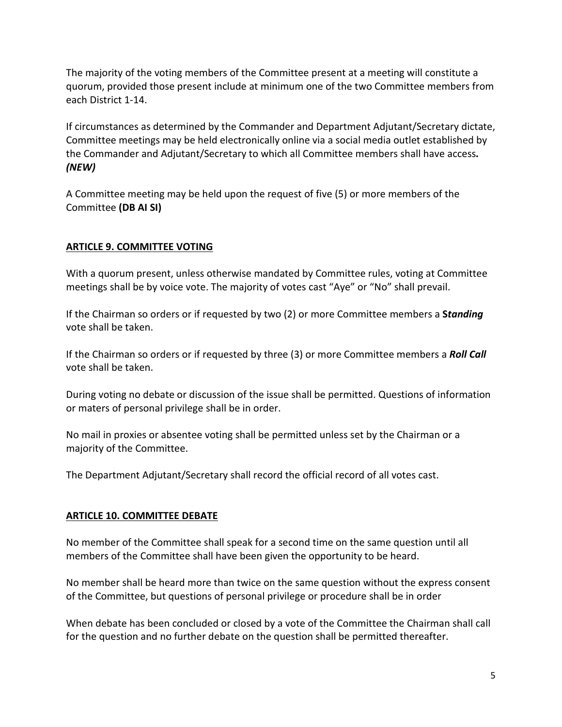The majority of the voting members of the Committee present at a meeting will constitute a quorum, provided those present include at minimum one of the two Committee members from each District 1-14.

If circumstances as determined by the Commander and Department Adjutant/Secretary dictate, Committee meetings may be held electronically online via a social media outlet established by the Commander and Adjutant/Secretary to which all Committee members shall have access*. (NEW)*

A Committee meeting may be held upon the request of five (5) or more members of the Committee **(DB AI SI)**

# **ARTICLE 9. COMMITTEE VOTING**

With a quorum present, unless otherwise mandated by Committee rules, voting at Committee meetings shall be by voice vote. The majority of votes cast "Aye" or "No" shall prevail.

If the Chairman so orders or if requested by two (2) or more Committee members a **S***tanding* vote shall be taken.

If the Chairman so orders or if requested by three (3) or more Committee members a *Roll Call* vote shall be taken.

During voting no debate or discussion of the issue shall be permitted. Questions of information or maters of personal privilege shall be in order.

No mail in proxies or absentee voting shall be permitted unless set by the Chairman or a majority of the Committee.

The Department Adjutant/Secretary shall record the official record of all votes cast.

# **ARTICLE 10. COMMITTEE DEBATE**

No member of the Committee shall speak for a second time on the same question until all members of the Committee shall have been given the opportunity to be heard.

No member shall be heard more than twice on the same question without the express consent of the Committee, but questions of personal privilege or procedure shall be in order

When debate has been concluded or closed by a vote of the Committee the Chairman shall call for the question and no further debate on the question shall be permitted thereafter.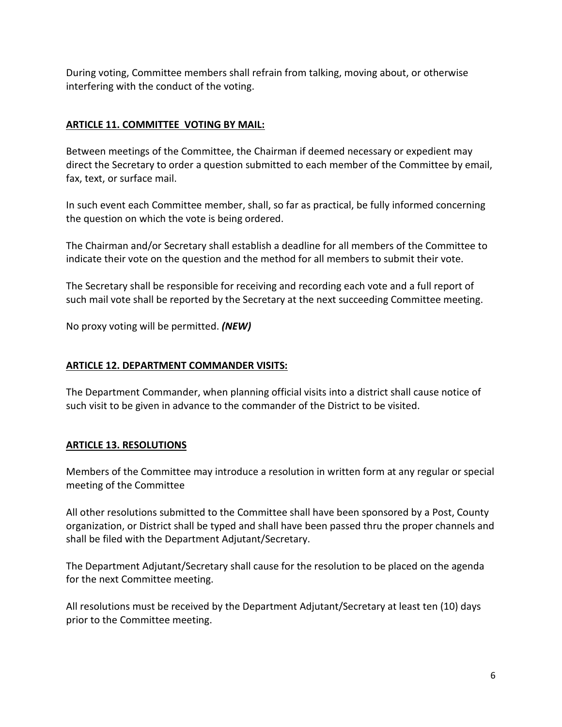During voting, Committee members shall refrain from talking, moving about, or otherwise interfering with the conduct of the voting.

# **ARTICLE 11. COMMITTEE VOTING BY MAIL:**

Between meetings of the Committee, the Chairman if deemed necessary or expedient may direct the Secretary to order a question submitted to each member of the Committee by email, fax, text, or surface mail.

In such event each Committee member, shall, so far as practical, be fully informed concerning the question on which the vote is being ordered.

The Chairman and/or Secretary shall establish a deadline for all members of the Committee to indicate their vote on the question and the method for all members to submit their vote.

The Secretary shall be responsible for receiving and recording each vote and a full report of such mail vote shall be reported by the Secretary at the next succeeding Committee meeting.

No proxy voting will be permitted. *(NEW)*

#### **ARTICLE 12. DEPARTMENT COMMANDER VISITS:**

The Department Commander, when planning official visits into a district shall cause notice of such visit to be given in advance to the commander of the District to be visited.

# **ARTICLE 13. RESOLUTIONS**

Members of the Committee may introduce a resolution in written form at any regular or special meeting of the Committee

All other resolutions submitted to the Committee shall have been sponsored by a Post, County organization, or District shall be typed and shall have been passed thru the proper channels and shall be filed with the Department Adjutant/Secretary.

The Department Adjutant/Secretary shall cause for the resolution to be placed on the agenda for the next Committee meeting.

All resolutions must be received by the Department Adjutant/Secretary at least ten (10) days prior to the Committee meeting.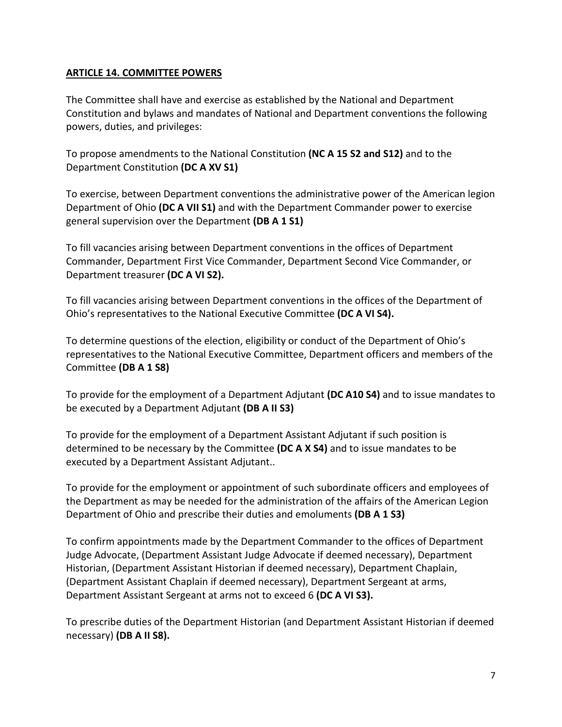#### **ARTICLE 14. COMMITTEE POWERS**

The Committee shall have and exercise as established by the National and Department Constitution and bylaws and mandates of National and Department conventions the following powers, duties, and privileges:

To propose amendments to the National Constitution **(NC A 15 S2 and S12)** and to the Department Constitution **(DC A XV S1)**

To exercise, between Department conventions the administrative power of the American legion Department of Ohio **(DC A VII S1)** and with the Department Commander power to exercise general supervision over the Department **(DB A 1 S1)**

To fill vacancies arising between Department conventions in the offices of Department Commander, Department First Vice Commander, Department Second Vice Commander, or Department treasurer **(DC A VI S2).**

To fill vacancies arising between Department conventions in the offices of the Department of Ohio's representatives to the National Executive Committee **(DC A VI S4).**

To determine questions of the election, eligibility or conduct of the Department of Ohio's representatives to the National Executive Committee, Department officers and members of the Committee **(DB A 1 S8)**

To provide for the employment of a Department Adjutant **(DC A10 S4)** and to issue mandates to be executed by a Department Adjutant **(DB A II S3)**

To provide for the employment of a Department Assistant Adjutant if such position is determined to be necessary by the Committee **(DC A X S4)** and to issue mandates to be executed by a Department Assistant Adjutant..

To provide for the employment or appointment of such subordinate officers and employees of the Department as may be needed for the administration of the affairs of the American Legion Department of Ohio and prescribe their duties and emoluments **(DB A 1 S3)**

To confirm appointments made by the Department Commander to the offices of Department Judge Advocate, (Department Assistant Judge Advocate if deemed necessary), Department Historian, (Department Assistant Historian if deemed necessary), Department Chaplain, (Department Assistant Chaplain if deemed necessary), Department Sergeant at arms, Department Assistant Sergeant at arms not to exceed 6 **(DC A VI S3).**

To prescribe duties of the Department Historian (and Department Assistant Historian if deemed necessary) **(DB A II S8).**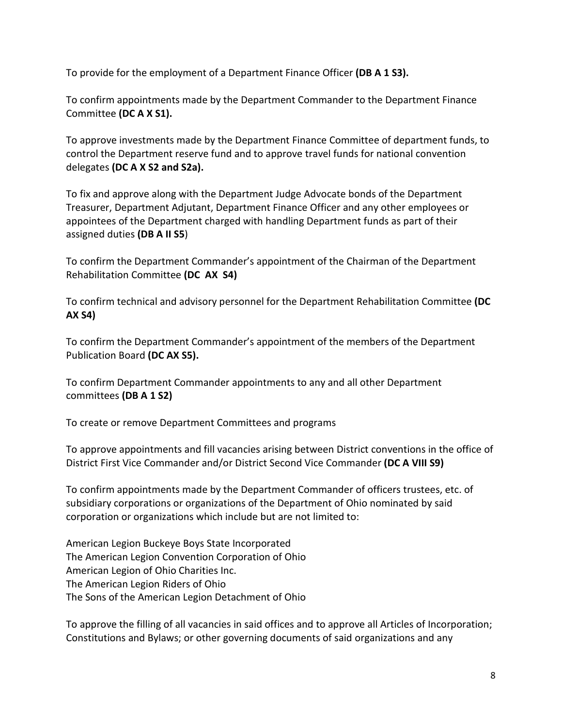To provide for the employment of a Department Finance Officer **(DB A 1 S3).**

To confirm appointments made by the Department Commander to the Department Finance Committee **(DC A X S1).**

To approve investments made by the Department Finance Committee of department funds, to control the Department reserve fund and to approve travel funds for national convention delegates **(DC A X S2 and S2a).**

To fix and approve along with the Department Judge Advocate bonds of the Department Treasurer, Department Adjutant, Department Finance Officer and any other employees or appointees of the Department charged with handling Department funds as part of their assigned duties **(DB A II S5**)

To confirm the Department Commander's appointment of the Chairman of the Department Rehabilitation Committee **(DC AX S4)**

To confirm technical and advisory personnel for the Department Rehabilitation Committee **(DC AX S4)**

To confirm the Department Commander's appointment of the members of the Department Publication Board **(DC AX S5).**

To confirm Department Commander appointments to any and all other Department committees **(DB A 1 S2)**

To create or remove Department Committees and programs

To approve appointments and fill vacancies arising between District conventions in the office of District First Vice Commander and/or District Second Vice Commander **(DC A VIII S9)**

To confirm appointments made by the Department Commander of officers trustees, etc. of subsidiary corporations or organizations of the Department of Ohio nominated by said corporation or organizations which include but are not limited to:

American Legion Buckeye Boys State Incorporated The American Legion Convention Corporation of Ohio American Legion of Ohio Charities Inc. The American Legion Riders of Ohio The Sons of the American Legion Detachment of Ohio

To approve the filling of all vacancies in said offices and to approve all Articles of Incorporation; Constitutions and Bylaws; or other governing documents of said organizations and any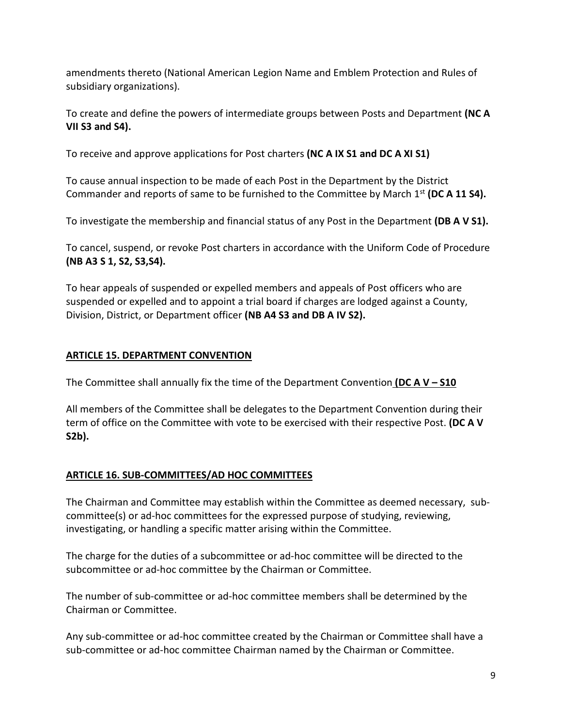amendments thereto (National American Legion Name and Emblem Protection and Rules of subsidiary organizations).

To create and define the powers of intermediate groups between Posts and Department **(NC A VII S3 and S4).**

To receive and approve applications for Post charters **(NC A IX S1 and DC A XI S1)**

To cause annual inspection to be made of each Post in the Department by the District Commander and reports of same to be furnished to the Committee by March 1st **(DC A 11 S4).**

To investigate the membership and financial status of any Post in the Department **(DB A V S1).**

To cancel, suspend, or revoke Post charters in accordance with the Uniform Code of Procedure **(NB A3 S 1, S2, S3,S4).**

To hear appeals of suspended or expelled members and appeals of Post officers who are suspended or expelled and to appoint a trial board if charges are lodged against a County, Division, District, or Department officer **(NB A4 S3 and DB A IV S2).**

# **ARTICLE 15. DEPARTMENT CONVENTION**

The Committee shall annually fix the time of the Department Convention **(DC A V – S10** 

All members of the Committee shall be delegates to the Department Convention during their term of office on the Committee with vote to be exercised with their respective Post. **(DC A V S2b).**

# **ARTICLE 16. SUB-COMMITTEES/AD HOC COMMITTEES**

The Chairman and Committee may establish within the Committee as deemed necessary, subcommittee(s) or ad-hoc committees for the expressed purpose of studying, reviewing, investigating, or handling a specific matter arising within the Committee.

The charge for the duties of a subcommittee or ad-hoc committee will be directed to the subcommittee or ad-hoc committee by the Chairman or Committee.

The number of sub-committee or ad-hoc committee members shall be determined by the Chairman or Committee.

Any sub-committee or ad-hoc committee created by the Chairman or Committee shall have a sub-committee or ad-hoc committee Chairman named by the Chairman or Committee.